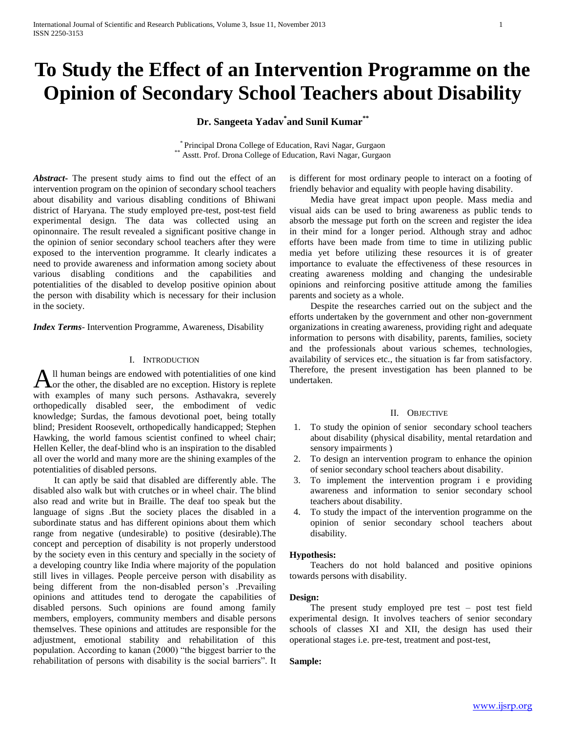# **To Study the Effect of an Intervention Programme on the Opinion of Secondary School Teachers about Disability**

**Dr. Sangeeta Yadav\* and Sunil Kumar\*\***

\* Principal Drona College of Education, Ravi Nagar, Gurgaon \*\* Asstt. Prof. Drona College of Education, Ravi Nagar, Gurgaon

*Abstract***-** The present study aims to find out the effect of an intervention program on the opinion of secondary school teachers about disability and various disabling conditions of Bhiwani district of Haryana. The study employed pre-test, post-test field experimental design. The data was collected using an opinonnaire. The result revealed a significant positive change in the opinion of senior secondary school teachers after they were exposed to the intervention programme. It clearly indicates a need to provide awareness and information among society about various disabling conditions and the capabilities and potentialities of the disabled to develop positive opinion about the person with disability which is necessary for their inclusion in the society.

*Index Terms*- Intervention Programme, Awareness, Disability

#### I. INTRODUCTION

ll human beings are endowed with potentialities of one kind All human beings are endowed with potentialities of one kind<br>A or the other, the disabled are no exception. History is replete with examples of many such persons. Asthavakra, severely orthopedically disabled seer, the embodiment of vedic knowledge; Surdas, the famous devotional poet, being totally blind; President Roosevelt, orthopedically handicapped; Stephen Hawking, the world famous scientist confined to wheel chair; Hellen Keller, the deaf-blind who is an inspiration to the disabled all over the world and many more are the shining examples of the potentialities of disabled persons.

 It can aptly be said that disabled are differently able. The disabled also walk but with crutches or in wheel chair. The blind also read and write but in Braille. The deaf too speak but the language of signs .But the society places the disabled in a subordinate status and has different opinions about them which range from negative (undesirable) to positive (desirable).The concept and perception of disability is not properly understood by the society even in this century and specially in the society of a developing country like India where majority of the population still lives in villages. People perceive person with disability as being different from the non-disabled person's .Prevailing opinions and attitudes tend to derogate the capabilities of disabled persons. Such opinions are found among family members, employers, community members and disable persons themselves. These opinions and attitudes are responsible for the adjustment, emotional stability and rehabilitation of this population. According to kanan (2000) "the biggest barrier to the rehabilitation of persons with disability is the social barriers". It is different for most ordinary people to interact on a footing of friendly behavior and equality with people having disability.

 Media have great impact upon people. Mass media and visual aids can be used to bring awareness as public tends to absorb the message put forth on the screen and register the idea in their mind for a longer period. Although stray and adhoc efforts have been made from time to time in utilizing public media yet before utilizing these resources it is of greater importance to evaluate the effectiveness of these resources in creating awareness molding and changing the undesirable opinions and reinforcing positive attitude among the families parents and society as a whole.

 Despite the researches carried out on the subject and the efforts undertaken by the government and other non-government organizations in creating awareness, providing right and adequate information to persons with disability, parents, families, society and the professionals about various schemes, technologies, availability of services etc., the situation is far from satisfactory. Therefore, the present investigation has been planned to be undertaken.

## II. OBJECTIVE

- 1. To study the opinion of senior secondary school teachers about disability (physical disability, mental retardation and sensory impairments )
- 2. To design an intervention program to enhance the opinion of senior secondary school teachers about disability.
- 3. To implement the intervention program i e providing awareness and information to senior secondary school teachers about disability.
- 4. To study the impact of the intervention programme on the opinion of senior secondary school teachers about disability.

# **Hypothesis:**

 Teachers do not hold balanced and positive opinions towards persons with disability.

#### **Design:**

 The present study employed pre test – post test field experimental design. It involves teachers of senior secondary schools of classes XI and XII, the design has used their operational stages i.e. pre-test, treatment and post-test,

#### **Sample:**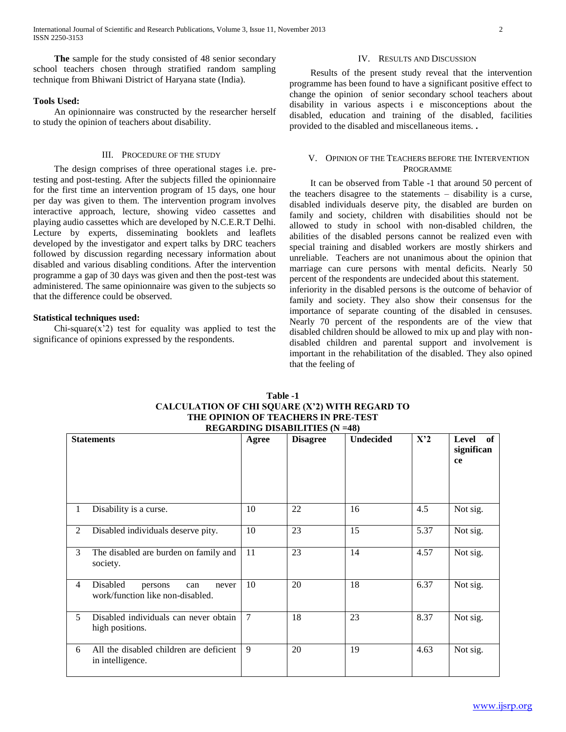International Journal of Scientific and Research Publications, Volume 3, Issue 11, November 2013 2 ISSN 2250-3153

 **The** sample for the study consisted of 48 senior secondary school teachers chosen through stratified random sampling technique from Bhiwani District of Haryana state (India).

#### **Tools Used:**

 An opinionnaire was constructed by the researcher herself to study the opinion of teachers about disability.

## III. PROCEDURE OF THE STUDY

 The design comprises of three operational stages i.e. pretesting and post-testing. After the subjects filled the opinionnaire for the first time an intervention program of 15 days, one hour per day was given to them. The intervention program involves interactive approach, lecture, showing video cassettes and playing audio cassettes which are developed by N.C.E.R.T Delhi. Lecture by experts, disseminating booklets and leaflets developed by the investigator and expert talks by DRC teachers followed by discussion regarding necessary information about disabled and various disabling conditions. After the intervention programme a gap of 30 days was given and then the post-test was administered. The same opinionnaire was given to the subjects so that the difference could be observed.

## **Statistical techniques used:**

 $Chi-square(x'2)$  test for equality was applied to test the significance of opinions expressed by the respondents.

#### IV. RESULTS AND DISCUSSION

 Results of the present study reveal that the intervention programme has been found to have a significant positive effect to change the opinion of senior secondary school teachers about disability in various aspects i e misconceptions about the disabled, education and training of the disabled, facilities provided to the disabled and miscellaneous items. **.**

## V. OPINION OF THE TEACHERS BEFORE THE INTERVENTION PROGRAMME

 It can be observed from Table -1 that around 50 percent of the teachers disagree to the statements – disability is a curse, disabled individuals deserve pity, the disabled are burden on family and society, children with disabilities should not be allowed to study in school with non-disabled children, the abilities of the disabled persons cannot be realized even with special training and disabled workers are mostly shirkers and unreliable. Teachers are not unanimous about the opinion that marriage can cure persons with mental deficits. Nearly 50 percent of the respondents are undecided about this statement. inferiority in the disabled persons is the outcome of behavior of family and society. They also show their consensus for the importance of separate counting of the disabled in censuses. Nearly 70 percent of the respondents are of the view that

disabled children should be allowed to mix up and play with nondisabled children and parental support and involvement is important in the rehabilitation of the disabled. They also opined that the feeling of

|                | <b>Statements</b>                                                       | Agree  | $\mathbf{R}$ $\mathbf{L}$ $\mathbf{L}$ $\mathbf{L}$ $\mathbf{L}$ $\mathbf{L}$ $\mathbf{L}$ $\mathbf{L}$ $\mathbf{L}$ $\mathbf{L}$ $\mathbf{L}$ $\mathbf{L}$ $\mathbf{L}$ $\mathbf{L}$ $\mathbf{L}$ $\mathbf{L}$ $\mathbf{L}$ $\mathbf{L}$ $\mathbf{L}$ $\mathbf{L}$ $\mathbf{L}$ $\mathbf{L}$ $\mathbf{L}$ $\mathbf{L}$ $\mathbf{$<br><b>Disagree</b> | <b>Undecided</b> | X'2  | of<br>Level<br>significan<br>ce |
|----------------|-------------------------------------------------------------------------|--------|-------------------------------------------------------------------------------------------------------------------------------------------------------------------------------------------------------------------------------------------------------------------------------------------------------------------------------------------------------|------------------|------|---------------------------------|
| 1              | Disability is a curse.                                                  | 10     | 22                                                                                                                                                                                                                                                                                                                                                    | 16               | 4.5  | Not sig.                        |
| 2              | Disabled individuals deserve pity.                                      | 10     | 23                                                                                                                                                                                                                                                                                                                                                    | 15               | 5.37 | Not sig.                        |
| 3              | The disabled are burden on family and<br>society.                       | 11     | 23                                                                                                                                                                                                                                                                                                                                                    | 14               | 4.57 | Not sig.                        |
| $\overline{4}$ | Disabled<br>never<br>persons<br>can<br>work/function like non-disabled. | 10     | 20                                                                                                                                                                                                                                                                                                                                                    | 18               | 6.37 | Not sig.                        |
| 5              | Disabled individuals can never obtain<br>high positions.                | $\tau$ | 18                                                                                                                                                                                                                                                                                                                                                    | 23               | 8.37 | Not sig.                        |
| 6              | All the disabled children are deficient<br>in intelligence.             | 9      | 20                                                                                                                                                                                                                                                                                                                                                    | 19               | 4.63 | Not sig.                        |

## **Table -1 CALCULATION OF CHI SQUARE (X'2) WITH REGARD TO THE OPINION OF TEACHERS IN PRE-TEST REGARDING DISABILITIES (N =48)**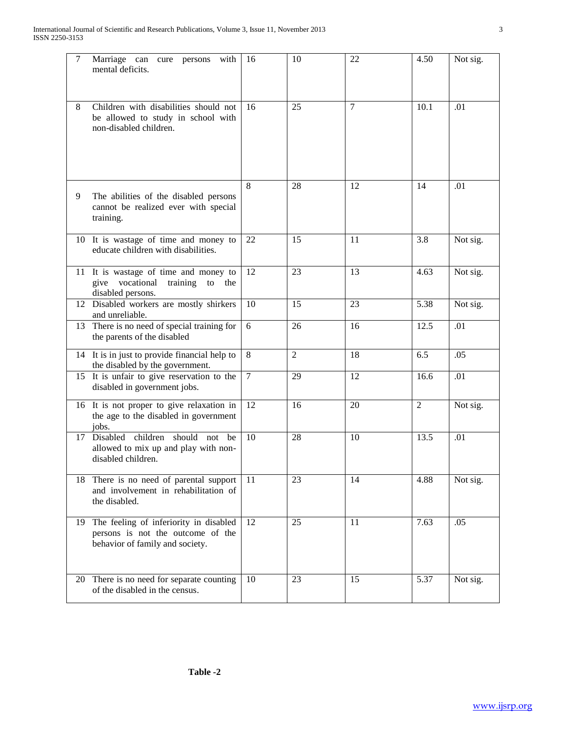| $\tau$ | Marriage can cure persons<br>with<br>mental deficits.                                                          | 16             | 10             | 22             | 4.50           | Not sig. |
|--------|----------------------------------------------------------------------------------------------------------------|----------------|----------------|----------------|----------------|----------|
| 8      | Children with disabilities should not<br>be allowed to study in school with<br>non-disabled children.          | 16             | 25             | $\overline{7}$ | 10.1           | .01      |
| 9      | The abilities of the disabled persons<br>cannot be realized ever with special<br>training.                     | 8              | 28             | 12             | 14             | .01      |
|        | 10 It is wastage of time and money to<br>educate children with disabilities.                                   | 22             | 15             | 11             | 3.8            | Not sig. |
|        | 11 It is wastage of time and money to<br>give vocational training<br>to<br>the<br>disabled persons.            | 12             | 23             | 13             | 4.63           | Not sig. |
|        | 12 Disabled workers are mostly shirkers<br>and unreliable.                                                     | 10             | 15             | 23             | 5.38           | Not sig. |
|        | 13 There is no need of special training for<br>the parents of the disabled                                     | 6              | 26             | 16             | 12.5           | .01      |
|        | 14 It is in just to provide financial help to<br>the disabled by the government.                               | 8              | $\overline{2}$ | 18             | 6.5            | .05      |
|        | 15 It is unfair to give reservation to the<br>disabled in government jobs.                                     | $\overline{7}$ | 29             | 12             | 16.6           | .01      |
|        | 16 It is not proper to give relaxation in<br>the age to the disabled in government<br>jobs.                    | 12             | 16             | 20             | $\overline{2}$ | Not sig. |
| 17     | children should<br>Disabled<br>be<br>not<br>allowed to mix up and play with non-<br>disabled children.         | 10             | 28             | 10             | 13.5           | .01      |
|        | 18 There is no need of parental support<br>and involvement in rehabilitation of<br>the disabled.               | 11             | 23             | 14             | 4.88           | Not sig. |
| 19     | The feeling of inferiority in disabled<br>persons is not the outcome of the<br>behavior of family and society. | 12             | 25             | 11             | 7.63           | .05      |
|        | 20 There is no need for separate counting<br>of the disabled in the census.                                    | 10             | 23             | 15             | 5.37           | Not sig. |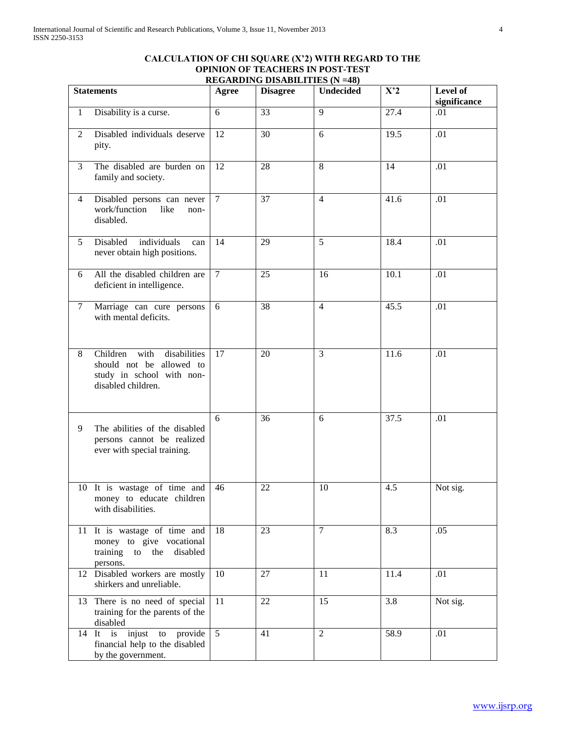# **CALCULATION OF CHI SQUARE (X'2) WITH REGARD TO THE OPINION OF TEACHERS IN POST-TEST REGARDING DISABILITIES (N =48)**

| <b>Statements</b> |                                                                                                                 | Agree          | $\sigma$ <i>b</i> to the theory $(11 - 10)$<br><b>Disagree</b> | Undecided      | X'2  | Level of<br>significance |
|-------------------|-----------------------------------------------------------------------------------------------------------------|----------------|----------------------------------------------------------------|----------------|------|--------------------------|
| $\mathbf{1}$      | Disability is a curse.                                                                                          | 6              | 33                                                             | $\overline{9}$ | 27.4 | .01                      |
| 2                 | Disabled individuals deserve<br>pity.                                                                           | 12             | 30                                                             | 6              | 19.5 | .01                      |
| $\mathfrak{Z}$    | The disabled are burden on<br>family and society.                                                               | 12             | 28                                                             | 8              | 14   | .01                      |
| 4                 | Disabled persons can never<br>work/function<br>like<br>non-<br>disabled.                                        | $\overline{7}$ | 37                                                             | $\overline{4}$ | 41.6 | .01                      |
| 5                 | individuals<br>Disabled<br>can<br>never obtain high positions.                                                  | 14             | 29                                                             | 5              | 18.4 | .01                      |
| 6                 | All the disabled children are<br>deficient in intelligence.                                                     | $\tau$         | 25                                                             | 16             | 10.1 | .01                      |
| $\tau$            | Marriage can cure persons<br>with mental deficits.                                                              | 6              | 38                                                             | $\overline{4}$ | 45.5 | .01                      |
| 8                 | Children<br>with<br>disabilities<br>should not be allowed to<br>study in school with non-<br>disabled children. | 17             | 20                                                             | $\overline{3}$ | 11.6 | .01                      |
| 9                 | The abilities of the disabled<br>persons cannot be realized<br>ever with special training.                      | 6              | 36                                                             | 6              | 37.5 | .01                      |
|                   | 10 It is wastage of time and<br>money to educate children<br>with disabilities.                                 | 46             | 22                                                             | 10             | 4.5  | Not sig.                 |
|                   | 11 It is wastage of time and<br>money to give vocational<br>training to the<br>disabled<br>persons.             | 18             | 23                                                             | $\tau$         | 8.3  | .05                      |
|                   | 12 Disabled workers are mostly<br>shirkers and unreliable.                                                      | 10             | 27                                                             | 11             | 11.4 | .01                      |
|                   | 13 There is no need of special<br>training for the parents of the<br>disabled                                   | 11             | 22                                                             | 15             | 3.8  | Not sig.                 |
| $14$ It           | provide<br>is<br>injust<br>${\rm to}$<br>financial help to the disabled<br>by the government.                   | 5              | 41                                                             | $\overline{2}$ | 58.9 | .01                      |